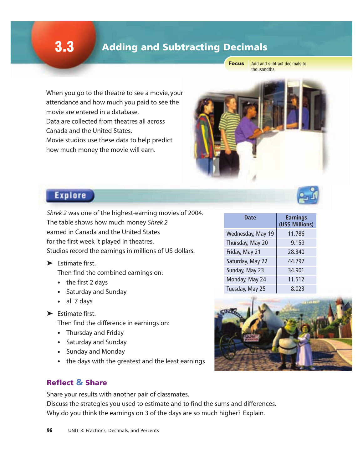# **3.3** Adding and Subtracting Decimals

Focus

Add and subtract decimals to thousandths.

When you go to the theatre to see a movie, your attendance and how much you paid to see the movie are entered in a database.

Data are collected from theatres all across Canada and the United States.

Movie studios use these data to help predict how much money the movie will earn.

# **Explore**

*Shrek 2* was one of the highest-earning movies of 2004. The table shows how much money *Shrek 2*  earned in Canada and the United States for the first week it played in theatres. Studios record the earnings in millions of US dollars.

➤ Estimate first.

Then find the combined earnings on:

- the first 2 days
- Saturday and Sunday
- all 7 days
- ➤ Estimate first.

Then find the difference in earnings on:

- Thursday and Friday
- Saturday and Sunday
- Sunday and Monday
- the days with the greatest and the least earnings

### Reflect & Share

Share your results with another pair of classmates. Discuss the strategies you used to estimate and to find the sums and differences. Why do you think the earnings on 3 of the days are so much higher? Explain.



| Date              | <b>Earnings</b><br>(US\$ Millions) |
|-------------------|------------------------------------|
| Wednesday, May 19 | 11.786                             |
| Thursday, May 20  | 9.159                              |
| Friday, May 21    | 28.340                             |
| Saturday, May 22  | 44.797                             |
| Sunday, May 23    | 34.901                             |
| Monday, May 24    | 11.512                             |
| Tuesday, May 25   | 8.023                              |

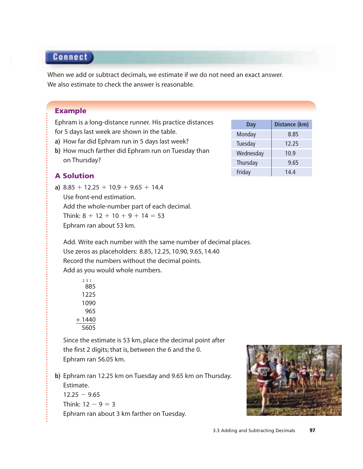## **Connect**

When we add or subtract decimals, we estimate if we do not need an exact answer. We also estimate to check the answer is reasonable.

#### Example

Ephram is a long-distance runner. His practice distances for 5 days last week are shown in the table.

- **a)** How far did Ephram run in 5 days last week?
- **b)** How much farther did Ephram run on Tuesday than on Thursday?

### A Solution

**a)**  $8.85 + 12.25 + 10.9 + 9.65 + 14.4$ Use front-end estimation. Add the whole-number part of each decimal. Think:  $8 + 12 + 10 + 9 + 14 = 53$ Ephram ran about 53 km.

Add. Write each number with the same number of decimal places.

Use zeros as placeholders: 8.85, 12.25, 10.90, 9.65, 14.40 Record the numbers without the decimal points. Add as you would whole numbers.

Since the estimate is 53 km, place the decimal point after the first 2 digits; that is, between the 6 and the 0. Ephram ran 56.05 km.

**b)** Ephram ran 12.25 km on Tuesday and 9.65 km on Thursday. Estimate.

 $12.25 - 9.65$ Think:  $12 - 9 = 3$ Ephram ran about 3 km farther on Tuesday.



| Monday    | 8.85  |
|-----------|-------|
| Tuesday   | 12.25 |
| Wednesday | 10.9  |
| Thursday  | 9.65  |
| Friday    | 14.4  |
|           |       |

**Day Distance (km)**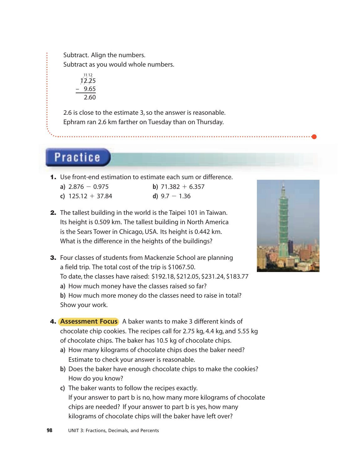Subtract. Align the numbers.

Subtract as you would whole numbers.

11 12  $12.25$ – 9.65 2.60

2.6 is close to the estimate 3, so the answer is reasonable. Ephram ran 2.6 km farther on Tuesday than on Thursday.

**Practice** 

1. Use front-end estimation to estimate each sum or difference.

| a) $2.876 - 0.975$ | b) $71.382 + 6.357$ |
|--------------------|---------------------|
|--------------------|---------------------|

**c**)  $125.12 + 37.84$  **d**)  $9.7 - 1.36$ 

- 
- 2. The tallest building in the world is the Taipei 101 in Taiwan. Its height is 0.509 km. The tallest building in North America is the Sears Tower in Chicago, USA. Its height is 0.442 km. What is the difference in the heights of the buildings?
- **3.** Four classes of students from Mackenzie School are planning a field trip. The total cost of the trip is \$1067.50. To date, the classes have raised: \$192.18, \$212.05, \$231.24, \$183.77 **a)** How much money have the classes raised so far? **b)** How much more money do the classes need to raise in total? Show your work.
- 4. **Assessment Focus** A baker wants to make 3 different kinds of chocolate chip cookies. The recipes call for 2.75 kg, 4.4 kg, and 5.55 kg of chocolate chips. The baker has 10.5 kg of chocolate chips.
	- **a)** How many kilograms of chocolate chips does the baker need? Estimate to check your answer is reasonable.
	- **b)** Does the baker have enough chocolate chips to make the cookies? How do you know?
	- **c)** The baker wants to follow the recipes exactly. If your answer to part b is no, how many more kilograms of chocolate chips are needed? If your answer to part b is yes, how many kilograms of chocolate chips will the baker have left over?